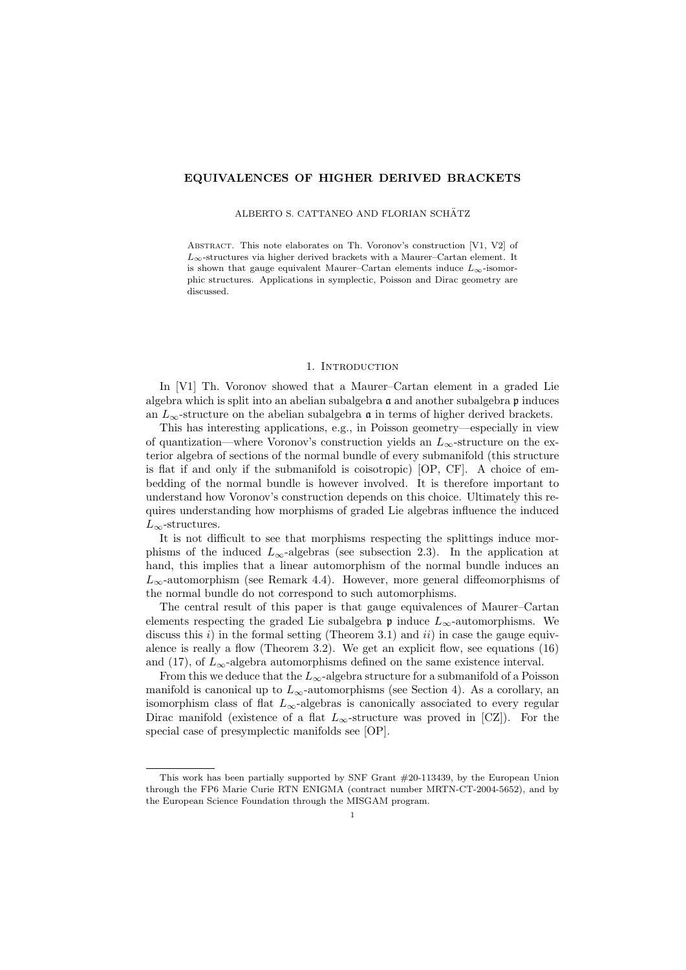## EQUIVALENCES OF HIGHER DERIVED BRACKETS

## ALBERTO S. CATTANEO AND FLORIAN SCHÄTZ

Abstract. This note elaborates on Th. Voronov's construction [V1, V2] of  $L_{\infty}$ -structures via higher derived brackets with a Maurer–Cartan element. It is shown that gauge equivalent Maurer–Cartan elements induce  $L_{\infty}$ -isomorphic structures. Applications in symplectic, Poisson and Dirac geometry are discussed.

## 1. INTRODUCTION

In [V1] Th. Voronov showed that a Maurer–Cartan element in a graded Lie algebra which is split into an abelian subalgebra  $\mathfrak a$  and another subalgebra  $\mathfrak p$  induces an  $L_{\infty}$ -structure on the abelian subalgebra  $\mathfrak a$  in terms of higher derived brackets.

This has interesting applications, e.g., in Poisson geometry—especially in view of quantization—where Voronov's construction yields an  $L_{\infty}$ -structure on the exterior algebra of sections of the normal bundle of every submanifold (this structure is flat if and only if the submanifold is coisotropic) [OP, CF]. A choice of embedding of the normal bundle is however involved. It is therefore important to understand how Voronov's construction depends on this choice. Ultimately this requires understanding how morphisms of graded Lie algebras influence the induced  $L_{\infty}$ -structures.

It is not difficult to see that morphisms respecting the splittings induce morphisms of the induced  $L_{\infty}$ -algebras (see subsection 2.3). In the application at hand, this implies that a linear automorphism of the normal bundle induces an  $L_{\infty}$ -automorphism (see Remark 4.4). However, more general diffeomorphisms of the normal bundle do not correspond to such automorphisms.

The central result of this paper is that gauge equivalences of Maurer–Cartan elements respecting the graded Lie subalgebra  $\mathfrak p$  induce  $L_{\infty}$ -automorphisms. We discuss this  $i$ ) in the formal setting (Theorem 3.1) and  $ii$ ) in case the gauge equivalence is really a flow (Theorem 3.2). We get an explicit flow, see equations (16) and (17), of  $L_{\infty}$ -algebra automorphisms defined on the same existence interval.

From this we deduce that the  $L_{\infty}$ -algebra structure for a submanifold of a Poisson manifold is canonical up to  $L_{\infty}$ -automorphisms (see Section 4). As a corollary, an isomorphism class of flat  $L_{\infty}$ -algebras is canonically associated to every regular Dirac manifold (existence of a flat  $L_{\infty}$ -structure was proved in [CZ]). For the special case of presymplectic manifolds see [OP].

This work has been partially supported by SNF Grant #20-113439, by the European Union through the FP6 Marie Curie RTN ENIGMA (contract number MRTN-CT-2004-5652), and by the European Science Foundation through the MISGAM program.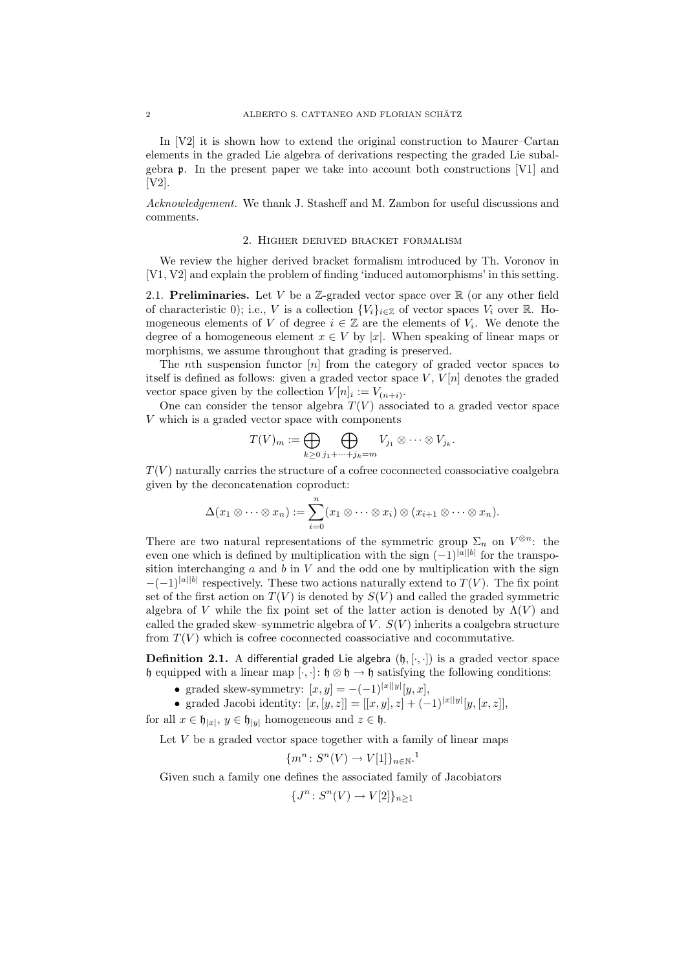In [V2] it is shown how to extend the original construction to Maurer–Cartan elements in the graded Lie algebra of derivations respecting the graded Lie subalgebra p. In the present paper we take into account both constructions [V1] and [V2].

Acknowledgement. We thank J. Stasheff and M. Zambon for useful discussions and comments.

#### 2. Higher derived bracket formalism

We review the higher derived bracket formalism introduced by Th. Voronov in [V1, V2] and explain the problem of finding 'induced automorphisms' in this setting.

2.1. Preliminaries. Let V be a Z-graded vector space over  $\mathbb R$  (or any other field of characteristic 0); i.e., V is a collection  ${V_i}_{i \in \mathbb{Z}}$  of vector spaces  $V_i$  over R. Homogeneous elements of V of degree  $i \in \mathbb{Z}$  are the elements of  $V_i$ . We denote the degree of a homogeneous element  $x \in V$  by |x|. When speaking of linear maps or morphisms, we assume throughout that grading is preserved.

The *n*th suspension functor  $[n]$  from the category of graded vector spaces to itself is defined as follows: given a graded vector space  $V, V[n]$  denotes the graded vector space given by the collection  $V[n]_i := V_{(n+i)}$ .

One can consider the tensor algebra  $T(V)$  associated to a graded vector space V which is a graded vector space with components

$$
T(V)_m := \bigoplus_{k \geq 0} \bigoplus_{j_1 + \dots + j_k = m} V_{j_1} \otimes \dots \otimes V_{j_k}.
$$

 $T(V)$  naturally carries the structure of a cofree coconnected coassociative coalgebra given by the deconcatenation coproduct:

$$
\Delta(x_1\otimes\cdots\otimes x_n):=\sum_{i=0}^n(x_1\otimes\cdots\otimes x_i)\otimes(x_{i+1}\otimes\cdots\otimes x_n).
$$

There are two natural representations of the symmetric group  $\Sigma_n$  on  $V^{\otimes n}$ : the even one which is defined by multiplication with the sign  $(-1)^{|a||b|}$  for the transposition interchanging  $a$  and  $b$  in  $V$  and the odd one by multiplication with the sign  $-(-1)^{|a||b|}$  respectively. These two actions naturally extend to  $T(V)$ . The fix point set of the first action on  $T(V)$  is denoted by  $S(V)$  and called the graded symmetric algebra of V while the fix point set of the latter action is denoted by  $\Lambda(V)$  and called the graded skew–symmetric algebra of  $V$ .  $S(V)$  inherits a coalgebra structure from  $T(V)$  which is cofree coconnected coassociative and cocommutative.

**Definition 2.1.** A differential graded Lie algebra  $(h, [\cdot, \cdot])$  is a graded vector space h equipped with a linear map  $[\cdot, \cdot] : \mathfrak{h} \otimes \mathfrak{h} \to \mathfrak{h}$  satisfying the following conditions:

• graded skew-symmetry:  $[x, y] = -(-1)^{|x||y|} [y, x],$ 

• graded Jacobi identity:  $[x, [y, z]] = [[x, y], z] + (-1)^{|x||y|}[y, [x, z]],$ 

for all  $x \in \mathfrak{h}_{|x|}$ ,  $y \in \mathfrak{h}_{|y|}$  homogeneous and  $z \in \mathfrak{h}$ .

Let  $V$  be a graded vector space together with a family of linear maps

$$
\{m^n\colon S^n(V)\to V[1]\}_{n\in\mathbb{N}}.
$$

Given such a family one defines the associated family of Jacobiators

$$
\{J^n\colon S^n(V)\to V[2]\}_{n\geq 1}
$$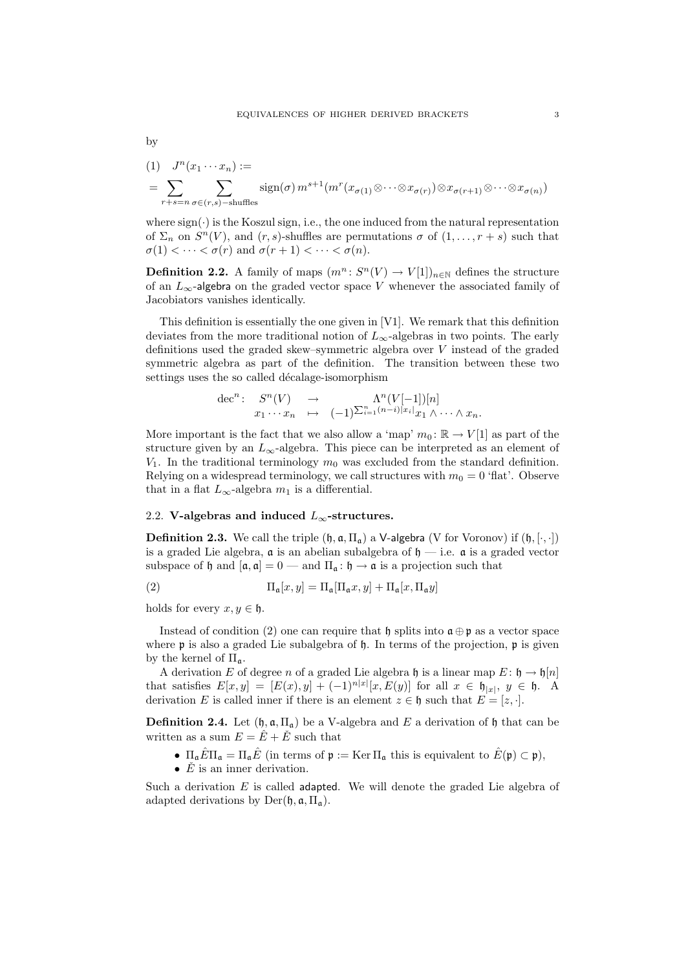$$
\qquad\hbox{by}\qquad
$$

(1) 
$$
J^{n}(x_{1} \cdots x_{n}) :=
$$
  
= 
$$
\sum_{r+s=n} \sum_{\sigma \in (r,s)-s} \text{sign}(\sigma) m^{s+1} (m^{r}(x_{\sigma(1)} \otimes \cdots \otimes x_{\sigma(r)}) \otimes x_{\sigma(r+1)} \otimes \cdots \otimes x_{\sigma(n)})
$$

where  $sign(\cdot)$  is the Koszul sign, i.e., the one induced from the natural representation of  $\Sigma_n$  on  $S^n(V)$ , and  $(r, s)$ -shuffles are permutations  $\sigma$  of  $(1, \ldots, r + s)$  such that  $\sigma(1) < \cdots < \sigma(r)$  and  $\sigma(r+1) < \cdots < \sigma(n)$ .

**Definition 2.2.** A family of maps  $(m^n: S^n(V) \to V[1])_{n \in \mathbb{N}}$  defines the structure of an  $L_{\infty}$ -algebra on the graded vector space V whenever the associated family of Jacobiators vanishes identically.

This definition is essentially the one given in [V1]. We remark that this definition deviates from the more traditional notion of  $L_{\infty}$ -algebras in two points. The early definitions used the graded skew–symmetric algebra over V instead of the graded symmetric algebra as part of the definition. The transition between these two settings uses the so called décalage-isomorphism

$$
\begin{array}{cccc}\n\text{dec}^n: & S^n(V) & \to & \Lambda^n(V[-1])[n] \\
& x_1 \cdots x_n & \mapsto & (-1)^{\sum_{i=1}^n (n-i)|x_i|} x_1 \wedge \cdots \wedge x_n.\n\end{array}
$$

More important is the fact that we also allow a 'map'  $m_0: \mathbb{R} \to V[1]$  as part of the structure given by an  $L_{\infty}$ -algebra. This piece can be interpreted as an element of  $V_1$ . In the traditional terminology  $m_0$  was excluded from the standard definition. Relying on a widespread terminology, we call structures with  $m_0 = 0$  'flat'. Observe that in a flat  $L_{\infty}$ -algebra  $m_1$  is a differential.

# 2.2. V-algebras and induced  $L_{\infty}$ -structures.

**Definition 2.3.** We call the triple  $(\mathfrak{h}, \mathfrak{a}, \Pi_{\mathfrak{a}})$  a V-algebra (V for Voronov) if  $(\mathfrak{h}, [\cdot, \cdot])$ is a graded Lie algebra,  $\alpha$  is an abelian subalgebra of  $\mathfrak{h}$  — i.e.  $\alpha$  is a graded vector subspace of h and  $[\mathfrak{a}, \mathfrak{a}] = 0$  — and  $\Pi_{\mathfrak{a}} : \mathfrak{h} \to \mathfrak{a}$  is a projection such that

(2) 
$$
\Pi_{\mathfrak{a}}[x,y] = \Pi_{\mathfrak{a}}[\Pi_{\mathfrak{a}}x,y] + \Pi_{\mathfrak{a}}[x,\Pi_{\mathfrak{a}}y]
$$

holds for every  $x, y \in \mathfrak{h}$ .

Instead of condition (2) one can require that h splits into  $\mathfrak{a} \oplus \mathfrak{p}$  as a vector space where  $\mathfrak p$  is also a graded Lie subalgebra of  $\mathfrak h$ . In terms of the projection,  $\mathfrak p$  is given by the kernel of  $\Pi_{\mathfrak{a}}$ .

A derivation E of degree n of a graded Lie algebra h is a linear map  $E: \mathfrak{h} \to \mathfrak{h}[n]$ that satisfies  $E[x,y] = [E(x), y] + (-1)^{n|x|}[x, E(y)]$  for all  $x \in \mathfrak{h}_{|x|}, y \in \mathfrak{h}$ . A derivation E is called inner if there is an element  $z \in \mathfrak{h}$  such that  $E = [z, \cdot]$ .

**Definition 2.4.** Let  $(\mathfrak{h}, \mathfrak{a}, \Pi_{\mathfrak{a}})$  be a V-algebra and E a derivation of  $\mathfrak{h}$  that can be written as a sum  $E = \hat{E} + \check{E}$  such that

- $\Pi_{\mathfrak{a}}\hat{E}\Pi_{\mathfrak{a}}=\Pi_{\mathfrak{a}}\hat{E}$  (in terms of  $\mathfrak{p}:=\text{Ker }\Pi_{\mathfrak{a}}$  this is equivalent to  $\hat{E}(\mathfrak{p})\subset \mathfrak{p}$ ),
- $E$  is an inner derivation.

Such a derivation  $E$  is called adapted. We will denote the graded Lie algebra of adapted derivations by  $Der(\mathfrak{h}, \mathfrak{a}, \Pi_{\mathfrak{a}})$ .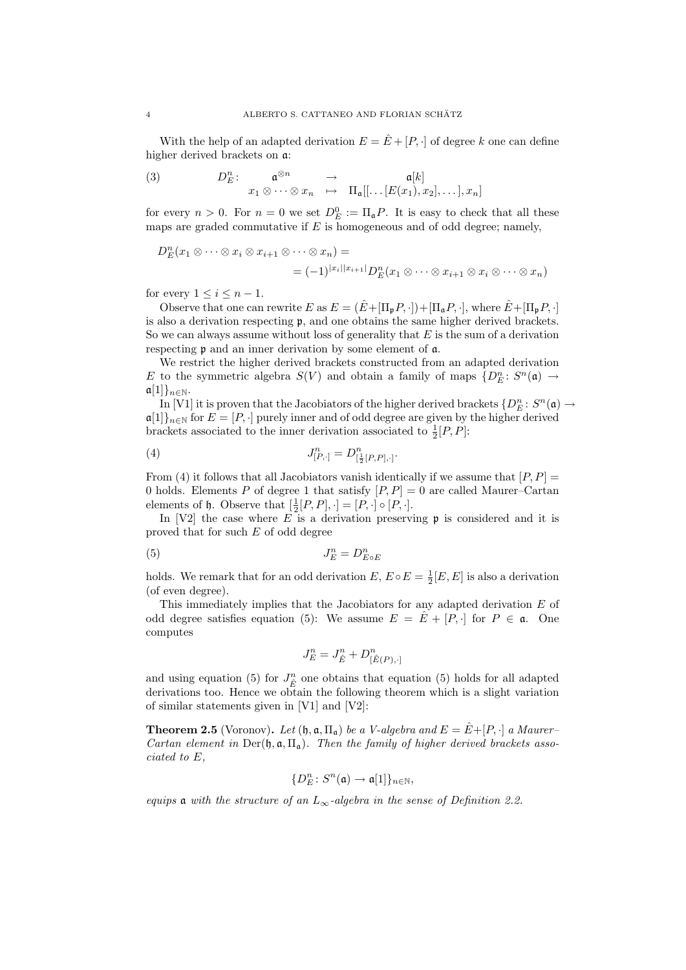With the help of an adapted derivation  $E = \hat{E} + [P, \cdot]$  of degree k one can define higher derived brackets on a:

(3) 
$$
D_E^n: \quad \mathfrak{a}^{\otimes n} \rightarrow \mathfrak{a}[k] x_1 \otimes \cdots \otimes x_n \mapsto \Pi_{\mathfrak{a}}[[\dots [E(x_1), x_2], \dots], x_n]
$$

for every  $n > 0$ . For  $n = 0$  we set  $D_E^0 := \Pi_{\mathfrak{a}} P$ . It is easy to check that all these maps are graded commutative if  $E$  is homogeneous and of odd degree; namely,

$$
D_E^n(x_1 \otimes \cdots \otimes x_i \otimes x_{i+1} \otimes \cdots \otimes x_n) =
$$
  
=  $(-1)^{|x_i||x_{i+1}|} D_E^n(x_1 \otimes \cdots \otimes x_{i+1} \otimes x_i \otimes \cdots \otimes x_n)$ 

for every  $1 \leq i \leq n-1$ .

Observe that one can rewrite E as  $E = (\hat{E} + [\Pi_p P, \cdot]) + [\Pi_a P, \cdot]$ , where  $\hat{E} + [\Pi_p P, \cdot]$ is also a derivation respecting p, and one obtains the same higher derived brackets. So we can always assume without loss of generality that  $E$  is the sum of a derivation respecting p and an inner derivation by some element of a.

We restrict the higher derived brackets constructed from an adapted derivation E to the symmetric algebra  $S(V)$  and obtain a family of maps  $\{D_E^n: S^n(\mathfrak{a}) \to$  $\mathfrak{a}[1]\}_{n\in\mathbb{N}}$ .

In [V1] it is proven that the Jacobiators of the higher derived brackets  $\{D_E^n\colon S^n(\mathfrak{a})\to$  $\mathfrak{a}[1]_{n\in\mathbb{N}}$  for  $E=[P,\cdot]$  purely inner and of odd degree are given by the higher derived brackets associated to the inner derivation associated to  $\frac{1}{2}[P, P]$ :

(4) 
$$
J_{[P,\cdot]}^n = D_{[\frac{1}{2}[P,P],\cdot]}^n.
$$

From (4) it follows that all Jacobiators vanish identically if we assume that  $[P, P] =$ 0 holds. Elements P of degree 1 that satisfy  $[P, P] = 0$  are called Maurer–Cartan elements of  $\mathfrak h$ . Observe that  $[\frac{1}{2}[P, P], \cdot] = [P, \cdot] \circ [P, \cdot]$ .

In [V2] the case where  $E$  is a derivation preserving  $\mathfrak p$  is considered and it is proved that for such E of odd degree

$$
(5) \t\t J_E^n = D_{E \circ E}^n
$$

holds. We remark that for an odd derivation  $E, E \circ E = \frac{1}{2}[E, E]$  is also a derivation (of even degree).

This immediately implies that the Jacobiators for any adapted derivation E of odd degree satisfies equation (5): We assume  $E = \hat{E} + [P, \cdot]$  for  $P \in \mathfrak{a}$ . One computes

$$
J_E^n = J_{\hat{E}}^n + D_{[\hat{E}(P), \cdot]}^n
$$

and using equation (5) for  $J_{\hat{E}}^n$  one obtains that equation (5) holds for all adapted derivations too. Hence we obtain the following theorem which is a slight variation of similar statements given in [V1] and [V2]:

**Theorem 2.5** (Voronov). Let  $(\mathfrak{h}, \mathfrak{a}, \Pi_{\mathfrak{a}})$  be a V-algebra and  $E = \hat{E} + [P, \cdot]$  a Maurer-Cartan element in Der( $\mathfrak{h}, \mathfrak{a}, \Pi_{\mathfrak{a}}$ ). Then the family of higher derived brackets associated to E,

$$
\{D_E^n\colon S^n(\mathfrak{a})\to \mathfrak{a}[1]\}_{n\in\mathbb{N}},
$$

equips **a** with the structure of an  $L_{\infty}$ -algebra in the sense of Definition 2.2.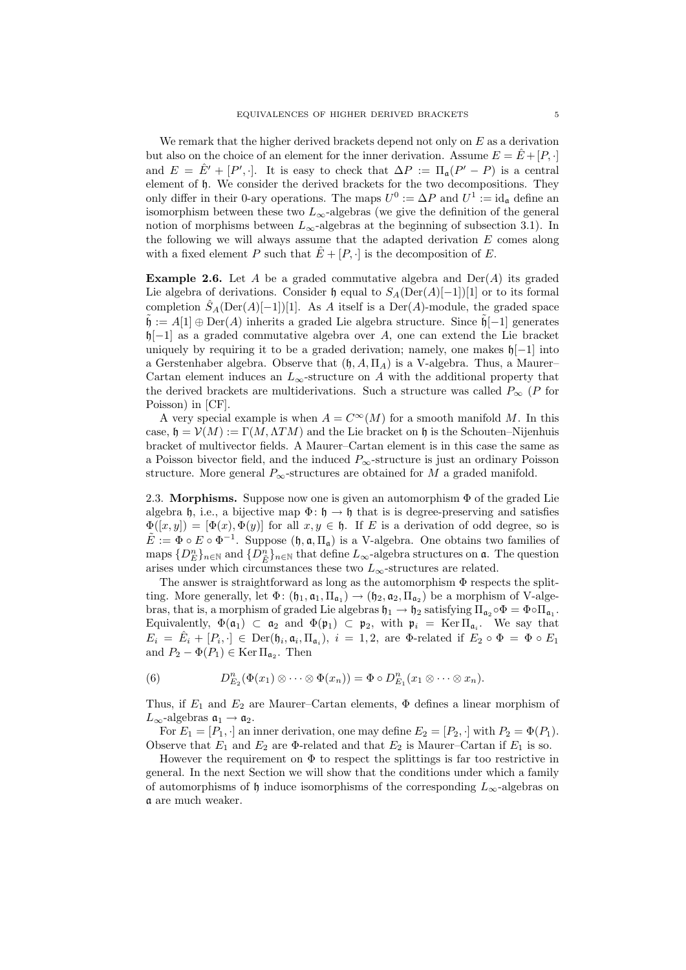We remark that the higher derived brackets depend not only on  $E$  as a derivation but also on the choice of an element for the inner derivation. Assume  $E = E + [P, \cdot]$ and  $E = \hat{E}' + [P', \cdot]$ . It is easy to check that  $\Delta P := \Pi_a(P' - P)$  is a central element of h. We consider the derived brackets for the two decompositions. They only differ in their 0-ary operations. The maps  $U^0 := \Delta P$  and  $U^1 := id_{\mathfrak{a}}$  define an isomorphism between these two  $L_{\infty}$ -algebras (we give the definition of the general notion of morphisms between  $L_{\infty}$ -algebras at the beginning of subsection 3.1). In the following we will always assume that the adapted derivation  $E$  comes along with a fixed element P such that  $E + [P, \cdot]$  is the decomposition of E.

**Example 2.6.** Let A be a graded commutative algebra and  $Der(A)$  its graded Lie algebra of derivations. Consider  $\mathfrak h$  equal to  $S_A(\mathrm{Der}(A)[-1])[1]$  or to its formal completion  $S_A(Der(A)[-1])[1]$ . As A itself is a Der(A)-module, the graded space  $\tilde{\mathfrak{h}} := A[1] \oplus \mathrm{Der}(A)$  inherits a graded Lie algebra structure. Since  $\tilde{\mathfrak{h}}[-1]$  generates h[-1] as a graded commutative algebra over A, one can extend the Lie bracket uniquely by requiring it to be a graded derivation; namely, one makes  $\mathfrak{h}[-1]$  into a Gerstenhaber algebra. Observe that  $(\mathfrak{h}, A, \Pi_A)$  is a V-algebra. Thus, a Maurer– Cartan element induces an  $L_{\infty}$ -structure on A with the additional property that the derived brackets are multiderivations. Such a structure was called  $P_{\infty}$  (P for Poisson) in [CF].

A very special example is when  $A = C^{\infty}(M)$  for a smooth manifold M. In this case,  $\mathfrak{h} = \mathcal{V}(M) := \Gamma(M, \Lambda TM)$  and the Lie bracket on  $\mathfrak{h}$  is the Schouten–Nijenhuis bracket of multivector fields. A Maurer–Cartan element is in this case the same as a Poisson bivector field, and the induced  $P_{\infty}$ -structure is just an ordinary Poisson structure. More general  $P_{\infty}$ -structures are obtained for M a graded manifold.

2.3. Morphisms. Suppose now one is given an automorphism  $\Phi$  of the graded Lie algebra h, i.e., a bijective map  $\Phi: \mathfrak{h} \to \mathfrak{h}$  that is is degree-preserving and satisfies  $\Phi([x,y]) = [\Phi(x), \Phi(y)]$  for all  $x, y \in \mathfrak{h}$ . If E is a derivation of odd degree, so is  $\tilde{E} := \Phi \circ E \circ \Phi^{-1}$ . Suppose  $(\mathfrak{h}, \mathfrak{a}, \Pi_{\mathfrak{a}})$  is a V-algebra. One obtains two families of maps  ${D_E^n}$ <sub>n∈N</sub> and  ${D_{\tilde{E}}^n}$ <sub>n∈N</sub> that define  $L_{\infty}$ -algebra structures on **a**. The question arises under which circumstances these two  $L_{\infty}$ -structures are related.

The answer is straightforward as long as the automorphism Φ respects the splitting. More generally, let  $\Phi: (\mathfrak{h}_1, \mathfrak{a}_1, \Pi_{\mathfrak{a}_1}) \to (\mathfrak{h}_2, \mathfrak{a}_2, \Pi_{\mathfrak{a}_2})$  be a morphism of V-algebras, that is, a morphism of graded Lie algebras  $\mathfrak{h}_1 \to \mathfrak{h}_2$  satisfying  $\Pi_{\mathfrak{a}_2} \circ \Phi = \Phi \circ \Pi_{\mathfrak{a}_1}$ . Equivalently,  $\Phi(\mathfrak{a}_1) \subset \mathfrak{a}_2$  and  $\Phi(\mathfrak{p}_1) \subset \mathfrak{p}_2$ , with  $\mathfrak{p}_i = \text{Ker } \Pi_{\mathfrak{a}_i}$ . We say that  $E_i = \hat{E}_i + [P_i, \cdot] \in \text{Der}(\mathfrak{h}_i, \mathfrak{a}_i, \Pi_{\mathfrak{a}_i}), i = 1, 2$ , are  $\Phi$ -related if  $E_2 \circ \Phi = \Phi \circ E_1$ and  $P_2 - \Phi(P_1) \in \text{Ker } \Pi_{\mathfrak{a}_2}$ . Then

(6) 
$$
D_{E_2}^n(\Phi(x_1)\otimes\cdots\otimes\Phi(x_n))=\Phi\circ D_{E_1}^n(x_1\otimes\cdots\otimes x_n).
$$

Thus, if  $E_1$  and  $E_2$  are Maurer–Cartan elements,  $\Phi$  defines a linear morphism of  $L_{\infty}$ -algebras  $\mathfrak{a}_1 \to \mathfrak{a}_2$ .

For  $E_1 = [P_1, \cdot]$  an inner derivation, one may define  $E_2 = [P_2, \cdot]$  with  $P_2 = \Phi(P_1)$ . Observe that  $E_1$  and  $E_2$  are  $\Phi$ -related and that  $E_2$  is Maurer–Cartan if  $E_1$  is so.

However the requirement on  $\Phi$  to respect the splittings is far too restrictive in general. In the next Section we will show that the conditions under which a family of automorphisms of h induce isomorphisms of the corresponding  $L_{\infty}$ -algebras on a are much weaker.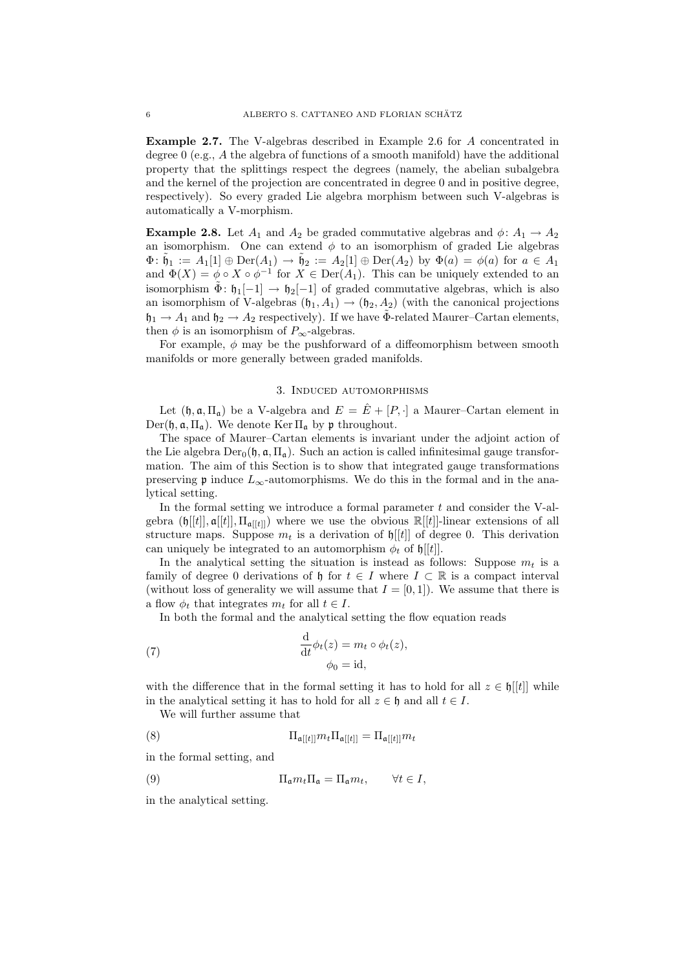Example 2.7. The V-algebras described in Example 2.6 for A concentrated in degree  $0$  (e.g., A the algebra of functions of a smooth manifold) have the additional property that the splittings respect the degrees (namely, the abelian subalgebra and the kernel of the projection are concentrated in degree  $0$  and in positive degree, respectively). So every graded Lie algebra morphism between such V-algebras is automatically a V-morphism.

**Example 2.8.** Let  $A_1$  and  $A_2$  be graded commutative algebras and  $\phi: A_1 \rightarrow A_2$ an isomorphism. One can extend  $\phi$  to an isomorphism of graded Lie algebras  $\Phi: \tilde{\mathfrak{h}}_1 := A_1[1] \oplus \mathrm{Der}(A_1) \to \tilde{\mathfrak{h}}_2 := A_2[1] \oplus \mathrm{Der}(A_2)$  by  $\Phi(a) = \phi(a)$  for  $a \in A_1$ and  $\Phi(X) = \phi \circ X \circ \phi^{-1}$  for  $X \in \text{Der}(A_1)$ . This can be uniquely extended to an isomorphism  $\tilde{\Phi}$ :  $\mathfrak{h}_1[-1] \rightarrow \mathfrak{h}_2[-1]$  of graded commutative algebras, which is also an isomorphism of V-algebras  $(\mathfrak{h}_1, A_1) \rightarrow (\mathfrak{h}_2, A_2)$  (with the canonical projections  $\mathfrak{h}_1 \to A_1$  and  $\mathfrak{h}_2 \to A_2$  respectively). If we have  $\tilde{\Phi}$ -related Maurer–Cartan elements, then  $\phi$  is an isomorphism of  $P_{\infty}$ -algebras.

For example,  $\phi$  may be the pushforward of a diffeomorphism between smooth manifolds or more generally between graded manifolds.

#### 3. Induced automorphisms

Let  $(\mathfrak{h}, \mathfrak{a}, \Pi_{\mathfrak{a}})$  be a V-algebra and  $E = \hat{E} + [P, \cdot]$  a Maurer–Cartan element in  $Der(\mathfrak{h}, \mathfrak{a}, \Pi_{\mathfrak{a}})$ . We denote  $\text{Ker }\Pi_{\mathfrak{a}}$  by  $\mathfrak{p}$  throughout.

The space of Maurer–Cartan elements is invariant under the adjoint action of the Lie algebra  $Der_{0}(\mathfrak{h}, \mathfrak{a}, \Pi_{\mathfrak{a}})$ . Such an action is called infinitesimal gauge transformation. The aim of this Section is to show that integrated gauge transformations preserving **p** induce  $L_{\infty}$ -automorphisms. We do this in the formal and in the analytical setting.

In the formal setting we introduce a formal parameter  $t$  and consider the V-algebra  $(\mathfrak{h}[[t]], \mathfrak{a}[[t]], \Pi_{\mathfrak{a}[[t]]})$  where we use the obvious  $\mathbb{R}[[t]]$ -linear extensions of all structure maps. Suppose  $m_t$  is a derivation of  $\mathfrak{h}[[t]]$  of degree 0. This derivation can uniquely be integrated to an automorphism  $\phi_t$  of  $\mathfrak{h}[[t]]$ .

In the analytical setting the situation is instead as follows: Suppose  $m_t$  is a family of degree 0 derivations of h for  $t \in I$  where  $I \subset \mathbb{R}$  is a compact interval (without loss of generality we will assume that  $I = [0, 1]$ ). We assume that there is a flow  $\phi_t$  that integrates  $m_t$  for all  $t \in I$ .

In both the formal and the analytical setting the flow equation reads

(7) 
$$
\frac{\mathrm{d}}{\mathrm{d}t}\phi_t(z) = m_t \circ \phi_t(z),
$$

$$
\phi_0 = \mathrm{id},
$$

with the difference that in the formal setting it has to hold for all  $z \in \mathfrak{h}[[t]]$  while in the analytical setting it has to hold for all  $z \in \mathfrak{h}$  and all  $t \in I$ .

We will further assume that

(8) 
$$
\Pi_{\mathfrak{a}[[t]]} m_t \Pi_{\mathfrak{a}[[t]]} = \Pi_{\mathfrak{a}[[t]]} m_t
$$

in the formal setting, and

(9) 
$$
\Pi_{\mathfrak{a}} m_t \Pi_{\mathfrak{a}} = \Pi_{\mathfrak{a}} m_t, \qquad \forall t \in I,
$$

in the analytical setting.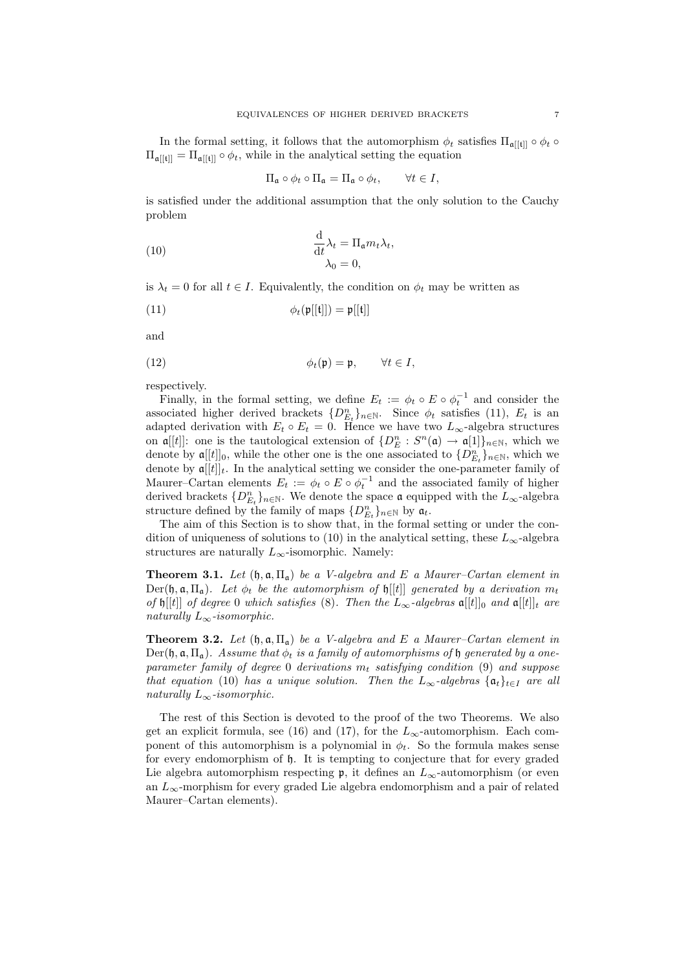In the formal setting, it follows that the automorphism  $\phi_t$  satisfies  $\Pi_{\mathfrak{a}[[t]]} \circ \phi_t \circ$  $\Pi_{\mathfrak{a}[[t]]} = \Pi_{\mathfrak{a}[[t]]} \circ \phi_t$ , while in the analytical setting the equation

$$
\Pi_{\mathfrak{a}} \circ \phi_t \circ \Pi_{\mathfrak{a}} = \Pi_{\mathfrak{a}} \circ \phi_t, \qquad \forall t \in I,
$$

is satisfied under the additional assumption that the only solution to the Cauchy problem

(10) 
$$
\frac{\mathrm{d}}{\mathrm{d}t} \lambda_t = \Pi_{\mathfrak{a}} m_t \lambda_t, \lambda_0 = 0,
$$

is  $\lambda_t = 0$  for all  $t \in I$ . Equivalently, the condition on  $\phi_t$  may be written as

(11) 
$$
\phi_t(\mathfrak{p}[[\mathfrak{t}]]) = \mathfrak{p}[[\mathfrak{t}]]
$$

and

(12) 
$$
\phi_t(\mathfrak{p}) = \mathfrak{p}, \qquad \forall t \in I,
$$

respectively.

Finally, in the formal setting, we define  $E_t := \phi_t \circ E \circ \phi_t^{-1}$  and consider the associated higher derived brackets  $\{D_{E_t}^n\}_{n\in\mathbb{N}}$ . Since  $\phi_t$  satisfies (11),  $E_t$  is an adapted derivation with  $E_t \circ E_t = 0$ . Hence we have two  $L_{\infty}$ -algebra structures on  $\mathfrak{a}[[t]]$ : one is the tautological extension of  $\{D_E^n : S^n(\mathfrak{a}) \to \mathfrak{a}[1]\}_{n \in \mathbb{N}}$ , which we denote by  $\mathfrak{a}[[t]]_0$ , while the other one is the one associated to  $\{D_{E_t}^n\}_{n\in\mathbb{N}}$ , which we denote by  $\mathfrak{a}[[t]]_t$ . In the analytical setting we consider the one-parameter family of Maurer–Cartan elements  $E_t := \phi_t \circ E \circ \phi_t^{-1}$  and the associated family of higher derived brackets  $\{D_{E_t}^n\}_{n\in\mathbb{N}}$ . We denote the space  $\mathfrak a$  equipped with the  $L_\infty$ -algebra structure defined by the family of maps  $\{D_{E_t}^n\}_{n\in\mathbb{N}}$  by  $\mathfrak{a}_t$ .

The aim of this Section is to show that, in the formal setting or under the condition of uniqueness of solutions to (10) in the analytical setting, these  $L_{\infty}$ -algebra structures are naturally  $L_{\infty}$ -isomorphic. Namely:

**Theorem 3.1.** Let  $(\mathfrak{h}, \mathfrak{a}, \Pi_{\mathfrak{a}})$  be a V-algebra and E a Maurer–Cartan element in Der(h, a,  $\Pi_a$ ). Let  $\phi_t$  be the automorphism of h[[t]] generated by a derivation  $m_t$ of  $\mathfrak{h}[[t]]$  of degree 0 which satisfies (8). Then the  $L_{\infty}$ -algebras  $\mathfrak{a}[[t]]_{0}$  and  $\mathfrak{a}[[t]]_{t}$  are naturally  $L_{\infty}$ -isomorphic.

**Theorem 3.2.** Let  $(\mathfrak{h}, \mathfrak{a}, \Pi_{\mathfrak{a}})$  be a V-algebra and E a Maurer–Cartan element in  $Der(\mathfrak{h}, \mathfrak{a}, \Pi_{\mathfrak{a}})$ . Assume that  $\phi_t$  is a family of automorphisms of  $\mathfrak{h}$  generated by a oneparameter family of degree 0 derivations  $m_t$  satisfying condition (9) and suppose that equation (10) has a unique solution. Then the  $L_{\infty}$ -algebras  $\{\mathfrak{a}_t\}_{t\in I}$  are all naturally  $L_{\infty}$ -isomorphic.

The rest of this Section is devoted to the proof of the two Theorems. We also get an explicit formula, see (16) and (17), for the  $L_{\infty}$ -automorphism. Each component of this automorphism is a polynomial in  $\phi_t$ . So the formula makes sense for every endomorphism of h. It is tempting to conjecture that for every graded Lie algebra automorphism respecting  $\mathfrak{p}$ , it defines an  $L_{\infty}$ -automorphism (or even an  $L_{\infty}$ -morphism for every graded Lie algebra endomorphism and a pair of related Maurer–Cartan elements).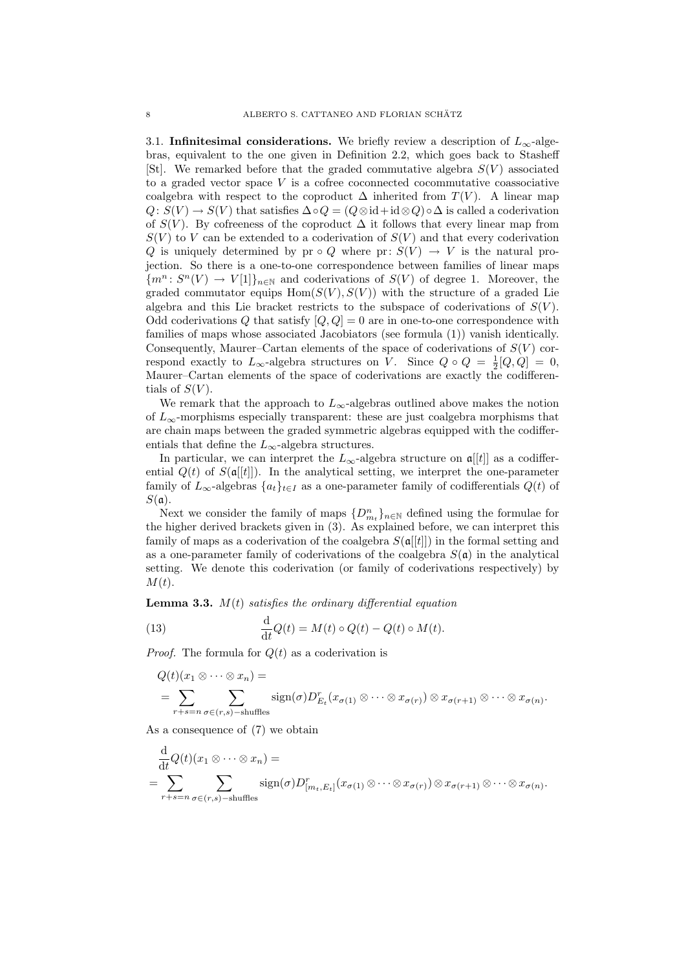3.1. Infinitesimal considerations. We briefly review a description of  $L_{\infty}$ -algebras, equivalent to the one given in Definition 2.2, which goes back to Stasheff [St]. We remarked before that the graded commutative algebra  $S(V)$  associated to a graded vector space  $V$  is a cofree coconnected cocommutative coassociative coalgebra with respect to the coproduct  $\Delta$  inherited from  $T(V)$ . A linear map  $Q: S(V) \to S(V)$  that satisfies  $\Delta \circ Q = (Q \otimes id + id \otimes Q) \circ \Delta$  is called a coderivation of  $S(V)$ . By cofreeness of the coproduct  $\Delta$  it follows that every linear map from  $S(V)$  to V can be extended to a coderivation of  $S(V)$  and that every coderivation Q is uniquely determined by pr  $\circ Q$  where pr:  $S(V) \to V$  is the natural projection. So there is a one-to-one correspondence between families of linear maps  ${m^n: S^n(V) \to V[1]}_{n \in \mathbb{N}}$  and coderivations of  $S(V)$  of degree 1. Moreover, the graded commutator equips  $Hom(S(V), S(V))$  with the structure of a graded Lie algebra and this Lie bracket restricts to the subspace of coderivations of  $S(V)$ . Odd coderivations Q that satisfy  $[Q, Q] = 0$  are in one-to-one correspondence with families of maps whose associated Jacobiators (see formula (1)) vanish identically. Consequently, Maurer–Cartan elements of the space of coderivations of  $S(V)$  correspond exactly to  $L_{\infty}$ -algebra structures on V. Since  $Q \circ Q = \frac{1}{2}[Q, Q] = 0$ , Maurer–Cartan elements of the space of coderivations are exactly the codifferentials of  $S(V)$ .

We remark that the approach to  $L_{\infty}$ -algebras outlined above makes the notion of  $L_{\infty}$ -morphisms especially transparent: these are just coalgebra morphisms that are chain maps between the graded symmetric algebras equipped with the codifferentials that define the  $L_{\infty}$ -algebra structures.

In particular, we can interpret the  $L_{\infty}$ -algebra structure on  $\mathfrak{a}[[t]]$  as a codifferential  $Q(t)$  of  $S(\mathfrak{a}[[t]])$ . In the analytical setting, we interpret the one-parameter family of  $L_{\infty}$ -algebras  $\{a_t\}_{t\in I}$  as a one-parameter family of codifferentials  $Q(t)$  of  $S(\mathfrak{a})$ .

Next we consider the family of maps  $\{D_{m_t}^n\}_{n\in\mathbb{N}}$  defined using the formulae for the higher derived brackets given in (3). As explained before, we can interpret this family of maps as a coderivation of the coalgebra  $S(\mathfrak{a}[[t]])$  in the formal setting and as a one-parameter family of coderivations of the coalgebra  $S(\mathfrak{a})$  in the analytical setting. We denote this coderivation (or family of coderivations respectively) by  $M(t)$ .

**Lemma 3.3.**  $M(t)$  satisfies the ordinary differential equation

(13) 
$$
\frac{\mathrm{d}}{\mathrm{d}t}Q(t) = M(t) \circ Q(t) - Q(t) \circ M(t).
$$

*Proof.* The formula for  $Q(t)$  as a coderivation is

$$
Q(t)(x_1 \otimes \cdots \otimes x_n) =
$$
  
= 
$$
\sum_{r+s=n} \sum_{\sigma \in (r,s)-\text{shuffles}} \text{sign}(\sigma) D_{E_t}^r(x_{\sigma(1)} \otimes \cdots \otimes x_{\sigma(r)}) \otimes x_{\sigma(r+1)} \otimes \cdots \otimes x_{\sigma(n)}.
$$

As a consequence of (7) we obtain

$$
\frac{\mathrm{d}}{\mathrm{d}t}Q(t)(x_1 \otimes \cdots \otimes x_n) =
$$
\n
$$
= \sum_{r+s=n} \sum_{\sigma \in (r,s)-\text{shuffles}} \text{sign}(\sigma)D^r_{[m_t, E_t]}(x_{\sigma(1)} \otimes \cdots \otimes x_{\sigma(r)}) \otimes x_{\sigma(r+1)} \otimes \cdots \otimes x_{\sigma(n)}.
$$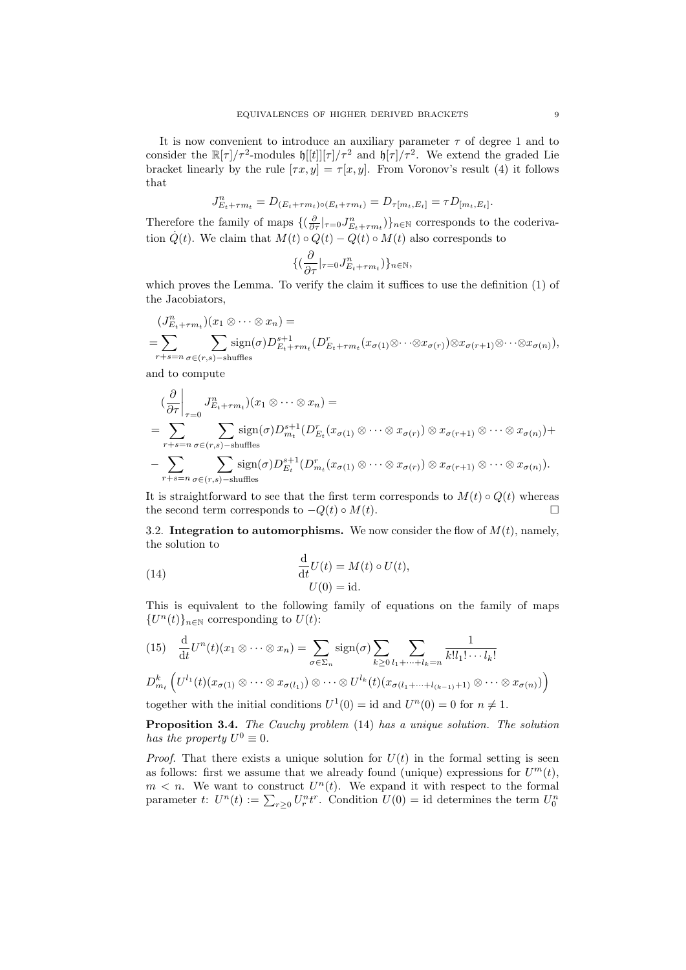It is now convenient to introduce an auxiliary parameter  $\tau$  of degree 1 and to consider the  $\mathbb{R}[\tau]/\tau^2$ -modules  $\mathfrak{h}[[t]][\tau]/\tau^2$  and  $\mathfrak{h}[\tau]/\tau^2$ . We extend the graded Lie bracket linearly by the rule  $[\tau x, y] = \tau [x, y]$ . From Voronov's result (4) it follows that

$$
J_{E_t + \tau m_t}^n = D_{(E_t + \tau m_t) \circ (E_t + \tau m_t)} = D_{\tau[m_t, E_t]} = \tau D_{[m_t, E_t]}.
$$

Therefore the family of maps  $\{(\frac{\partial}{\partial \tau}|_{\tau=0} J_{E_t+\tau m_t}^n)\}_{n\in\mathbb{N}}$  corresponds to the coderivation  $\dot{Q}(t)$ . We claim that  $M(t) \circ Q(t) - Q(t) \circ M(t)$  also corresponds to

$$
\{(\frac{\partial}{\partial \tau}|_{\tau=0} J^n_{E_t+\tau m_t})\}_{n\in\mathbb{N}},
$$

which proves the Lemma. To verify the claim it suffices to use the definition (1) of the Jacobiators,

$$
(J_{E_t+\tau m_t}^n)(x_1 \otimes \cdots \otimes x_n) =
$$
  
= 
$$
\sum_{r+s=n} \sum_{\sigma \in (r,s)-s} \operatorname{sign}(\sigma) D_{E_t+\tau m_t}^{s+1} (D_{E_t+\tau m_t}^r(x_{\sigma(1)} \otimes \cdots \otimes x_{\sigma(r)}) \otimes x_{\sigma(r+1)} \otimes \cdots \otimes x_{\sigma(n)}),
$$

and to compute

$$
\begin{split}\n&\left(\frac{\partial}{\partial \tau}\right)_{\tau=0} J_{E_t+\tau m_t}^n(x_1 \otimes \cdots \otimes x_n) = \\
&= \sum_{r+s=n} \sum_{\sigma \in (r,s)-\text{shuffles}} \text{sign}(\sigma) D_{m_t}^{s+1}(D_{E_t}^r(x_{\sigma(1)} \otimes \cdots \otimes x_{\sigma(r)}) \otimes x_{\sigma(r+1)} \otimes \cdots \otimes x_{\sigma(n)}) + \\
&\left(-\sum_{r+s=n} \sum_{\sigma \in (r,s)-\text{shuffles}} \text{sign}(\sigma) D_{E_t}^{s+1}(D_{m_t}^r(x_{\sigma(1)} \otimes \cdots \otimes x_{\sigma(r)}) \otimes x_{\sigma(r+1)} \otimes \cdots \otimes x_{\sigma(n)}).\n\end{split}
$$

It is straightforward to see that the first term corresponds to  $M(t) \circ Q(t)$  whereas the second term corresponds to  $-Q(t) \circ M(t)$ .

3.2. Integration to automorphisms. We now consider the flow of  $M(t)$ , namely, the solution to

(14) 
$$
\frac{d}{dt}U(t) = M(t) \circ U(t),
$$

$$
U(0) = id.
$$

This is equivalent to the following family of equations on the family of maps  ${U<sup>n</sup>(t)}<sub>n\in\mathbb{N}</sub>$  corresponding to  $U(t)$ :

$$
(15) \quad \frac{\mathrm{d}}{\mathrm{d}t}U^n(t)(x_1 \otimes \cdots \otimes x_n) = \sum_{\sigma \in \Sigma_n} \text{sign}(\sigma) \sum_{k \ge 0} \sum_{l_1 + \cdots + l_k = n} \frac{1}{k! l_1! \cdots l_k!}
$$

$$
D_{m_t}^k \left( U^{l_1}(t)(x_{\sigma(1)} \otimes \cdots \otimes x_{\sigma(l_1)}) \otimes \cdots \otimes U^{l_k}(t)(x_{\sigma(l_1 + \cdots + l_{(k-1)}+1)} \otimes \cdots \otimes x_{\sigma(n)}) \right)
$$

together with the initial conditions  $U^1(0) = id$  and  $U^n(0) = 0$  for  $n \neq 1$ .

Proposition 3.4. The Cauchy problem (14) has a unique solution. The solution has the property  $U^0 \equiv 0$ .

*Proof.* That there exists a unique solution for  $U(t)$  in the formal setting is seen as follows: first we assume that we already found (unique) expressions for  $U^m(t)$ ,  $m < n$ . We want to construct  $U<sup>n</sup>(t)$ . We expand it with respect to the formal parameter t:  $U^n(t) := \sum_{r \geq 0} U_r^n t^r$ . Condition  $U(0) = \text{id}$  determines the term  $U_0^n$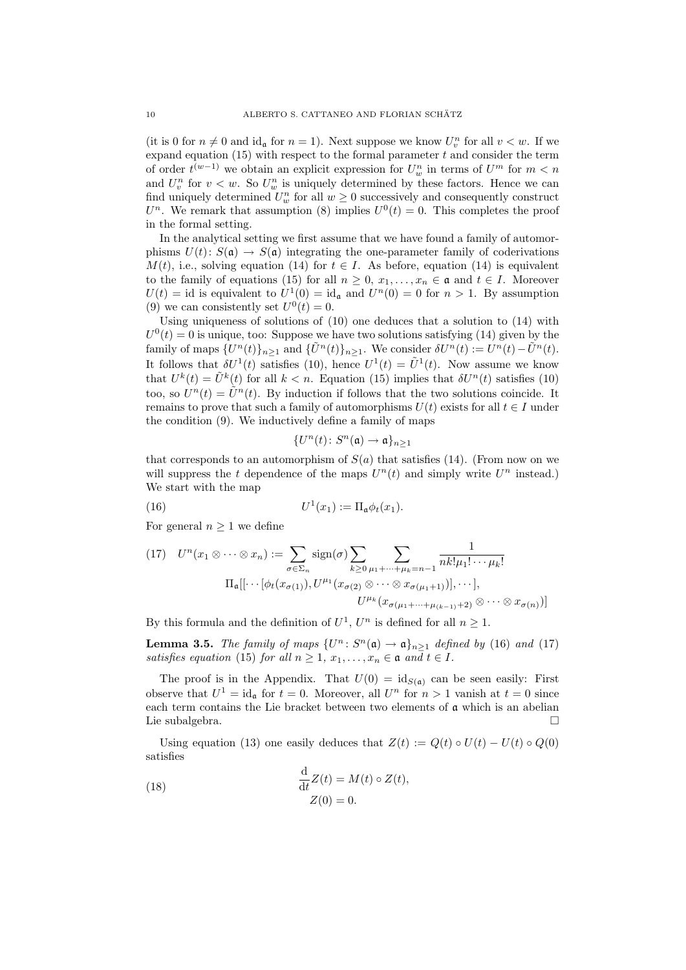(it is 0 for  $n \neq 0$  and id<sub>a</sub> for  $n = 1$ ). Next suppose we know  $U_v^n$  for all  $v < w$ . If we expand equation  $(15)$  with respect to the formal parameter t and consider the term of order  $t^{(w-1)}$  we obtain an explicit expression for  $U_w^n$  in terms of  $U^m$  for  $m < n$ and  $U_v^n$  for  $v < w$ . So  $U_w^n$  is uniquely determined by these factors. Hence we can find uniquely determined  $U_w^n$  for all  $w \geq 0$  successively and consequently construct  $U<sup>n</sup>$ . We remark that assumption (8) implies  $U<sup>0</sup>(t) = 0$ . This completes the proof in the formal setting.

In the analytical setting we first assume that we have found a family of automorphisms  $U(t)$ :  $S(\mathfrak{a}) \to S(\mathfrak{a})$  integrating the one-parameter family of coderivations  $M(t)$ , i.e., solving equation (14) for  $t \in I$ . As before, equation (14) is equivalent to the family of equations (15) for all  $n \geq 0, x_1, \ldots, x_n \in \mathfrak{a}$  and  $t \in I$ . Moreover  $U(t) = id$  is equivalent to  $U^1(0) = id_{\mathfrak{a}}$  and  $U^n(0) = 0$  for  $n > 1$ . By assumption (9) we can consistently set  $U^0(t) = 0$ .

Using uniqueness of solutions of (10) one deduces that a solution to (14) with  $U^0(t) = 0$  is unique, too: Suppose we have two solutions satisfying (14) given by the family of maps  $\{U^n(t)\}_{n\geq 1}$  and  $\{\tilde{U}^n(t)\}_{n\geq 1}$ . We consider  $\delta U^n(t) := U^n(t) - \tilde{U}^n(t)$ . It follows that  $\delta U^1(t)$  satisfies (10), hence  $U^1(t) = \tilde{U}^1(t)$ . Now assume we know that  $U^k(t) = \tilde{U}^k(t)$  for all  $k < n$ . Equation (15) implies that  $\delta U^n(t)$  satisfies (10) too, so  $U^n(t) = \tilde{U}^n(t)$ . By induction if follows that the two solutions coincide. It remains to prove that such a family of automorphisms  $U(t)$  exists for all  $t \in I$  under the condition (9). We inductively define a family of maps

$$
\{U^n(t)\colon S^n(\mathfrak{a})\to\mathfrak{a}\}_{n\geq 1}
$$

that corresponds to an automorphism of  $S(a)$  that satisfies (14). (From now on we will suppress the t dependence of the maps  $U^n(t)$  and simply write  $U^n$  instead.) We start with the map

(16) 
$$
U^{1}(x_{1}) := \Pi_{\mathfrak{a}} \phi_{t}(x_{1}).
$$

For general  $n \geq 1$  we define

(17) 
$$
U^{n}(x_{1} \otimes \cdots \otimes x_{n}) := \sum_{\sigma \in \Sigma_{n}} \text{sign}(\sigma) \sum_{k \geq 0} \sum_{\mu_{1} + \cdots + \mu_{k} = n-1} \frac{1}{nk! \mu_{1}! \cdots \mu_{k}!}
$$

$$
\Pi_{\mathfrak{a}}[[\cdots[\phi_{t}(x_{\sigma(1)}), U^{\mu_{1}}(x_{\sigma(2)} \otimes \cdots \otimes x_{\sigma(\mu_{1}+1)})], \cdots],
$$

$$
U^{\mu_{k}}(x_{\sigma(\mu_{1} + \cdots + \mu_{(k-1)}+2)} \otimes \cdots \otimes x_{\sigma(n)})]
$$

By this formula and the definition of  $U^1$ ,  $U^n$  is defined for all  $n \geq 1$ .

**Lemma 3.5.** The family of maps  $\{U^n: S^n(\mathfrak{a}) \to \mathfrak{a}\}_{n \geq 1}$  defined by (16) and (17) satisfies equation (15) for all  $n \geq 1$ ,  $x_1, \ldots, x_n \in \mathfrak{a}$  and  $t \in I$ .

The proof is in the Appendix. That  $U(0) = id_{S(\mathfrak{a})}$  can be seen easily: First observe that  $U^1 = id_{\mathfrak{a}}$  for  $t = 0$ . Moreover, all  $U^n$  for  $n > 1$  vanish at  $t = 0$  since each term contains the Lie bracket between two elements of  $a$  which is an abelian Lie subalgebra.

Using equation (13) one easily deduces that  $Z(t) := Q(t) \circ U(t) - U(t) \circ Q(0)$ satisfies

(18) 
$$
\frac{\mathrm{d}}{\mathrm{d}t}Z(t) = M(t) \circ Z(t),
$$

$$
Z(0) = 0.
$$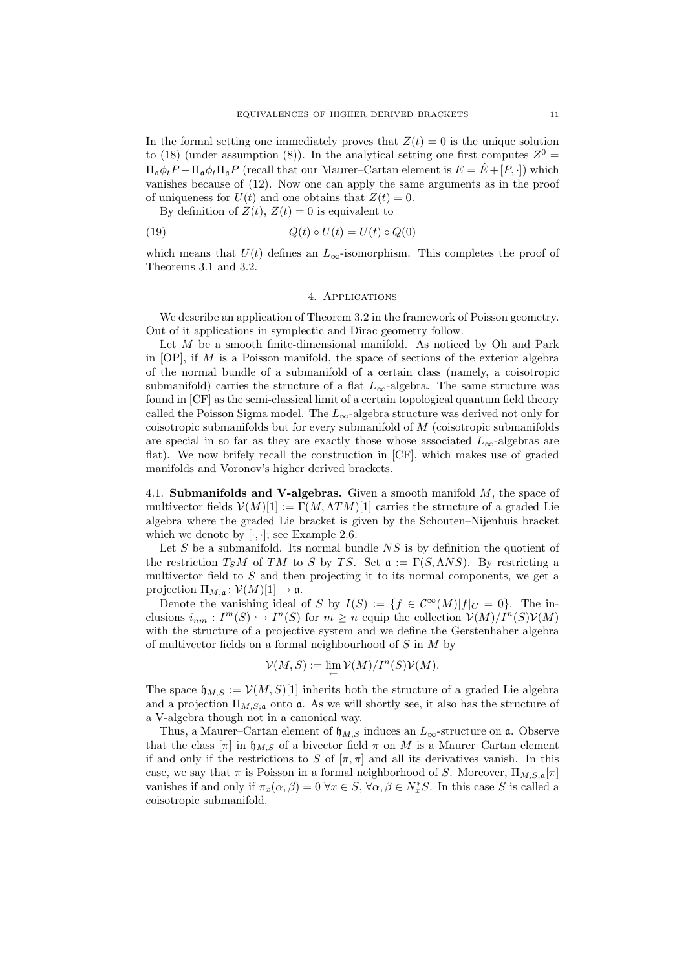In the formal setting one immediately proves that  $Z(t) = 0$  is the unique solution to (18) (under assumption (8)). In the analytical setting one first computes  $Z^0 =$  $\Pi_{\mathfrak{a}} \phi_t P - \Pi_{\mathfrak{a}} \phi_t \Pi_{\mathfrak{a}} P$  (recall that our Maurer–Cartan element is  $E = \hat{E} + [P, \cdot]$ ) which vanishes because of (12). Now one can apply the same arguments as in the proof of uniqueness for  $U(t)$  and one obtains that  $Z(t) = 0$ .

By definition of  $Z(t)$ ,  $Z(t) = 0$  is equivalent to

$$
(19) \qquad \qquad Q(t) \circ U(t) = U(t) \circ Q(0)
$$

which means that  $U(t)$  defines an  $L_{\infty}$ -isomorphism. This completes the proof of Theorems 3.1 and 3.2.

## 4. Applications

We describe an application of Theorem 3.2 in the framework of Poisson geometry. Out of it applications in symplectic and Dirac geometry follow.

Let M be a smooth finite-dimensional manifold. As noticed by Oh and Park in  $[OP]$ , if M is a Poisson manifold, the space of sections of the exterior algebra of the normal bundle of a submanifold of a certain class (namely, a coisotropic submanifold) carries the structure of a flat  $L_{\infty}$ -algebra. The same structure was found in [CF] as the semi-classical limit of a certain topological quantum field theory called the Poisson Sigma model. The  $L_{\infty}$ -algebra structure was derived not only for coisotropic submanifolds but for every submanifold of M (coisotropic submanifolds are special in so far as they are exactly those whose associated  $L_{\infty}$ -algebras are flat). We now brifely recall the construction in [CF], which makes use of graded manifolds and Voronov's higher derived brackets.

4.1. Submanifolds and V-algebras. Given a smooth manifold  $M$ , the space of multivector fields  $\mathcal{V}(M)[1] := \Gamma(M, \Lambda TM)[1]$  carries the structure of a graded Lie algebra where the graded Lie bracket is given by the Schouten–Nijenhuis bracket which we denote by  $[\cdot, \cdot]$ ; see Example 2.6.

Let  $S$  be a submanifold. Its normal bundle  $NS$  is by definition the quotient of the restriction  $T_S M$  of TM to S by TS. Set  $\mathfrak{a} := \Gamma(S, \Lambda NS)$ . By restricting a multivector field to  $S$  and then projecting it to its normal components, we get a projection  $\Pi_{M;\mathfrak{a}}: \mathcal{V}(M)[1] \to \mathfrak{a}.$ 

Denote the vanishing ideal of S by  $I(S) := \{f \in C^{\infty}(M)|f|_{C} = 0\}$ . The inclusions  $i_{nm}: I^m(S) \hookrightarrow I^n(S)$  for  $m \geq n$  equip the collection  $\mathcal{V}(M)/I^n(S)\mathcal{V}(M)$ with the structure of a projective system and we define the Gerstenhaber algebra of multivector fields on a formal neighbourhood of  $S$  in  $M$  by

$$
\mathcal{V}(M,S):=\lim\limits_{\longleftarrow}\mathcal{V}(M)/I^n(S)\mathcal{V}(M).
$$

The space  $\mathfrak{h}_{M,S} := \mathcal{V}(M, S)[1]$  inherits both the structure of a graded Lie algebra and a projection  $\Pi_{M,S;\mathfrak{a}}$  onto **a**. As we will shortly see, it also has the structure of a V-algebra though not in a canonical way.

Thus, a Maurer–Cartan element of  $\mathfrak{h}_{M,S}$  induces an  $L_{\infty}$ -structure on  $\mathfrak{a}$ . Observe that the class  $[\pi]$  in  $\mathfrak{h}_{M,S}$  of a bivector field  $\pi$  on M is a Maurer–Cartan element if and only if the restrictions to S of  $[\pi, \pi]$  and all its derivatives vanish. In this case, we say that  $\pi$  is Poisson in a formal neighborhood of S. Moreover,  $\Pi_{M,S;\mathfrak{a}}[\pi]$ vanishes if and only if  $\pi_x(\alpha, \beta) = 0 \,\forall x \in S, \forall \alpha, \beta \in N_x^*S$ . In this case S is called a coisotropic submanifold.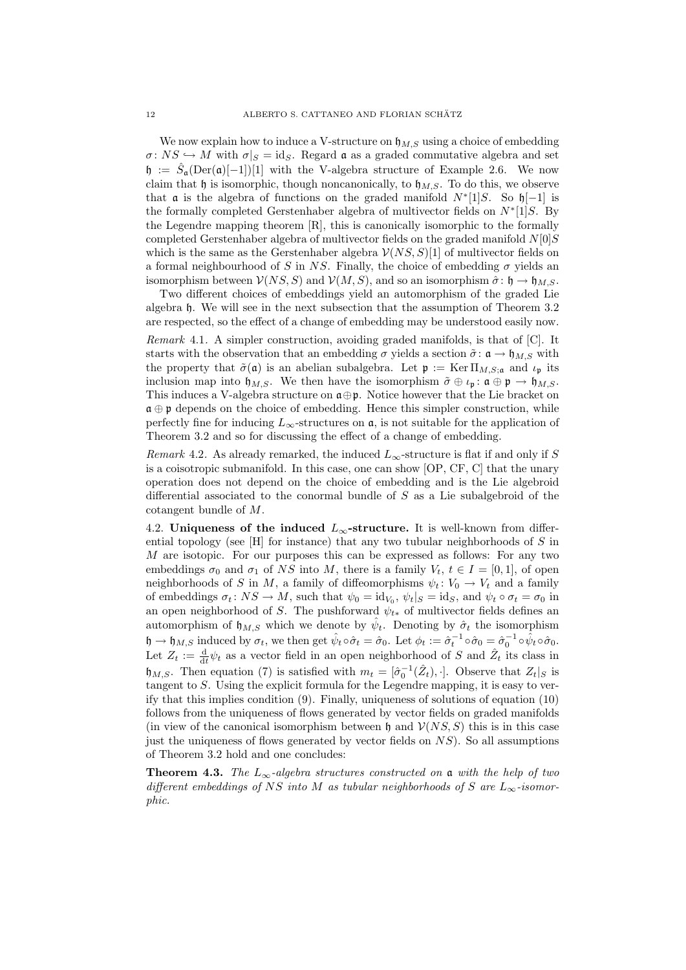We now explain how to induce a V-structure on  $\mathfrak{h}_{M,S}$  using a choice of embedding  $\sigma: NS \hookrightarrow M$  with  $\sigma|_S = id_S$ . Regard  $\mathfrak a$  as a graded commutative algebra and set  $\mathfrak{h} := \hat{S}_{\mathfrak{a}}(\text{Der}(\mathfrak{a})[-1])[1]$  with the V-algebra structure of Example 2.6. We now claim that h is isomorphic, though noncanonically, to  $h_{MS}$ . To do this, we observe that  $\alpha$  is the algebra of functions on the graded manifold  $N^*[1]S$ . So  $\mathfrak{h}[-1]$  is the formally completed Gerstenhaber algebra of multivector fields on  $N^*[1]S$ . By the Legendre mapping theorem [R], this is canonically isomorphic to the formally completed Gerstenhaber algebra of multivector fields on the graded manifold  $N[0]S$ which is the same as the Gerstenhaber algebra  $\mathcal{V}(NS, S)[1]$  of multivector fields on a formal neighbourhood of S in NS. Finally, the choice of embedding  $\sigma$  yields an isomorphism between  $V(NS, S)$  and  $V(M, S)$ , and so an isomorphism  $\hat{\sigma} : \mathfrak{h} \to \mathfrak{h}_{M,S}$ .

Two different choices of embeddings yield an automorphism of the graded Lie algebra h. We will see in the next subsection that the assumption of Theorem 3.2 are respected, so the effect of a change of embedding may be understood easily now.

Remark 4.1. A simpler construction, avoiding graded manifolds, is that of [C]. It starts with the observation that an embedding  $\sigma$  yields a section  $\tilde{\sigma}$ :  $\mathfrak{a} \to \mathfrak{h}_{M,S}$  with the property that  $\tilde{\sigma}(\mathfrak{a})$  is an abelian subalgebra. Let  $\mathfrak{p} := \text{Ker } \Pi_{M,S;\mathfrak{a}}$  and  $\iota_{\mathfrak{p}}$  its inclusion map into  $\mathfrak{h}_{M,S}$ . We then have the isomorphism  $\tilde{\sigma} \oplus \iota_{\mathfrak{p}}: \mathfrak{a} \oplus \mathfrak{p} \to \mathfrak{h}_{M,S}$ . This induces a V-algebra structure on  $\mathfrak{a} \oplus \mathfrak{p}$ . Notice however that the Lie bracket on  $\mathfrak{a} \oplus \mathfrak{p}$  depends on the choice of embedding. Hence this simpler construction, while perfectly fine for inducing  $L_{\infty}$ -structures on  $\mathfrak{a}$ , is not suitable for the application of Theorem 3.2 and so for discussing the effect of a change of embedding.

Remark 4.2. As already remarked, the induced  $L_{\infty}$ -structure is flat if and only if S is a coisotropic submanifold. In this case, one can show [OP, CF, C] that the unary operation does not depend on the choice of embedding and is the Lie algebroid differential associated to the conormal bundle of S as a Lie subalgebroid of the cotangent bundle of M.

4.2. Uniqueness of the induced  $L_{\infty}$ -structure. It is well-known from differential topology (see  $\vert H \vert$  for instance) that any two tubular neighborhoods of S in M are isotopic. For our purposes this can be expressed as follows: For any two embeddings  $\sigma_0$  and  $\sigma_1$  of NS into M, there is a family  $V_t$ ,  $t \in I = [0, 1]$ , of open neighborhoods of S in M, a family of diffeomorphisms  $\psi_t: V_0 \to V_t$  and a family of embeddings  $\sigma_t \colon NS \to M$ , such that  $\psi_0 = id_{V_0}, \psi_t|_S = id_S$ , and  $\psi_t \circ \sigma_t = \sigma_0$  in an open neighborhood of S. The pushforward  $\psi_{t*}$  of multivector fields defines an automorphism of  $\mathfrak{h}_{M,S}$  which we denote by  $\hat{\psi}_t$ . Denoting by  $\hat{\sigma}_t$  the isomorphism  $\mathfrak{h} \to \mathfrak{h}_{M,S}$  induced by  $\sigma_t$ , we then get  $\hat{\psi}_t \circ \hat{\sigma}_t = \hat{\sigma}_0$ . Let  $\phi_t := \hat{\sigma}_t^{-1} \circ \hat{\sigma}_0 = \hat{\sigma}_0^{-1} \circ \hat{\psi}_t \circ \hat{\sigma}_0$ . Let  $Z_t := \frac{d}{dt} \psi_t$  as a vector field in an open neighborhood of S and  $\hat{Z}_t$  its class in  $\mathfrak{h}_{M,S}$ . Then equation (7) is satisfied with  $m_t = [\hat{\sigma}_0^{-1}(\hat{Z}_t), \cdot]$ . Observe that  $Z_t|_S$  is tangent to S. Using the explicit formula for the Legendre mapping, it is easy to verify that this implies condition (9). Finally, uniqueness of solutions of equation (10) follows from the uniqueness of flows generated by vector fields on graded manifolds (in view of the canonical isomorphism between  $\mathfrak h$  and  $\mathcal V(NS, S)$ ) this is in this case just the uniqueness of flows generated by vector fields on  $NS$ ). So all assumptions of Theorem 3.2 hold and one concludes:

**Theorem 4.3.** The  $L_{\infty}$ -algebra structures constructed on a with the help of two different embeddings of NS into M as tubular neighborhoods of S are  $L_{\infty}$ -isomorphic.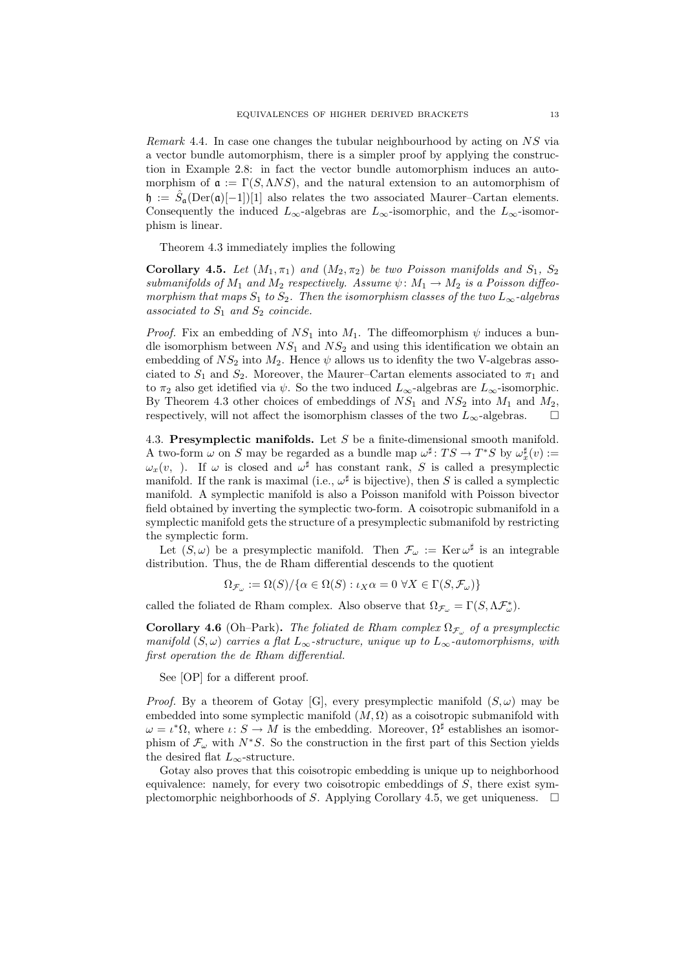Remark 4.4. In case one changes the tubular neighbourhood by acting on NS via a vector bundle automorphism, there is a simpler proof by applying the construction in Example 2.8: in fact the vector bundle automorphism induces an automorphism of  $\mathfrak{a} := \Gamma(S, \Lambda NS)$ , and the natural extension to an automorphism of  $\mathfrak{h} := \hat{S}_{\mathfrak{a}}(\mathrm{Der}(\mathfrak{a})[-1])[1]$  also relates the two associated Maurer–Cartan elements. Consequently the induced  $L_{\infty}$ -algebras are  $L_{\infty}$ -isomorphic, and the  $L_{\infty}$ -isomorphism is linear.

Theorem 4.3 immediately implies the following

Corollary 4.5. Let  $(M_1, \pi_1)$  and  $(M_2, \pi_2)$  be two Poisson manifolds and  $S_1$ ,  $S_2$ submanifolds of  $M_1$  and  $M_2$  respectively. Assume  $\psi \colon M_1 \to M_2$  is a Poisson diffeomorphism that maps  $S_1$  to  $S_2$ . Then the isomorphism classes of the two  $L_{\infty}$ -algebras associated to  $S_1$  and  $S_2$  coincide.

*Proof.* Fix an embedding of  $NS_1$  into  $M_1$ . The diffeomorphism  $\psi$  induces a bundle isomorphism between  $NS_1$  and  $NS_2$  and using this identification we obtain an embedding of  $NS_2$  into  $M_2$ . Hence  $\psi$  allows us to idenfity the two V-algebras associated to  $S_1$  and  $S_2$ . Moreover, the Maurer–Cartan elements associated to  $\pi_1$  and to  $\pi_2$  also get idetified via  $\psi$ . So the two induced  $L_{\infty}$ -algebras are  $L_{\infty}$ -isomorphic. By Theorem 4.3 other choices of embeddings of  $NS_1$  and  $NS_2$  into  $M_1$  and  $M_2$ , respectively, will not affect the isomorphism classes of the two  $L_{\infty}$ -algebras.  $\square$ 

4.3. Presymplectic manifolds. Let S be a finite-dimensional smooth manifold. A two-form  $\omega$  on S may be regarded as a bundle map  $\omega^{\sharp}$ :  $TS \to T^*S$  by  $\omega_x^{\sharp}(v)$  :=  $\omega_x(v, \cdot)$ . If  $\omega$  is closed and  $\omega^{\sharp}$  has constant rank, S is called a presymplectic manifold. If the rank is maximal (i.e.,  $\omega^{\sharp}$  is bijective), then S is called a symplectic manifold. A symplectic manifold is also a Poisson manifold with Poisson bivector field obtained by inverting the symplectic two-form. A coisotropic submanifold in a symplectic manifold gets the structure of a presymplectic submanifold by restricting the symplectic form.

Let  $(S, \omega)$  be a presymplectic manifold. Then  $\mathcal{F}_{\omega} := \text{Ker} \omega^{\sharp}$  is an integrable distribution. Thus, the de Rham differential descends to the quotient

$$
\Omega_{\mathcal{F}_{\omega}} := \Omega(S) / \{ \alpha \in \Omega(S) : \iota_X \alpha = 0 \ \forall X \in \Gamma(S, \mathcal{F}_{\omega}) \}
$$

called the foliated de Rham complex. Also observe that  $\Omega_{\mathcal{F}_{\omega}} = \Gamma(S, \Lambda \mathcal{F}_{\omega}^*)$ .

**Corollary 4.6** (Oh–Park). The foliated de Rham complex  $\Omega_{\mathcal{F}_{\omega}}$  of a presymplectic manifold  $(S, \omega)$  carries a flat  $L_{\infty}$ -structure, unique up to  $L_{\infty}$ -automorphisms, with first operation the de Rham differential.

See [OP] for a different proof.

*Proof.* By a theorem of Gotay [G], every presymplectic manifold  $(S, \omega)$  may be embedded into some symplectic manifold  $(M, \Omega)$  as a coisotropic submanifold with  $\omega = \iota^* \Omega$ , where  $\iota: S \to M$  is the embedding. Moreover,  $\Omega^{\sharp}$  establishes an isomorphism of  $\mathcal{F}_{\omega}$  with  $N^*S$ . So the construction in the first part of this Section yields the desired flat  $L_{\infty}$ -structure.

Gotay also proves that this coisotropic embedding is unique up to neighborhood equivalence: namely, for every two coisotropic embeddings of  $S$ , there exist symplectomorphic neighborhoods of S. Applying Corollary 4.5, we get uniqueness.  $\Box$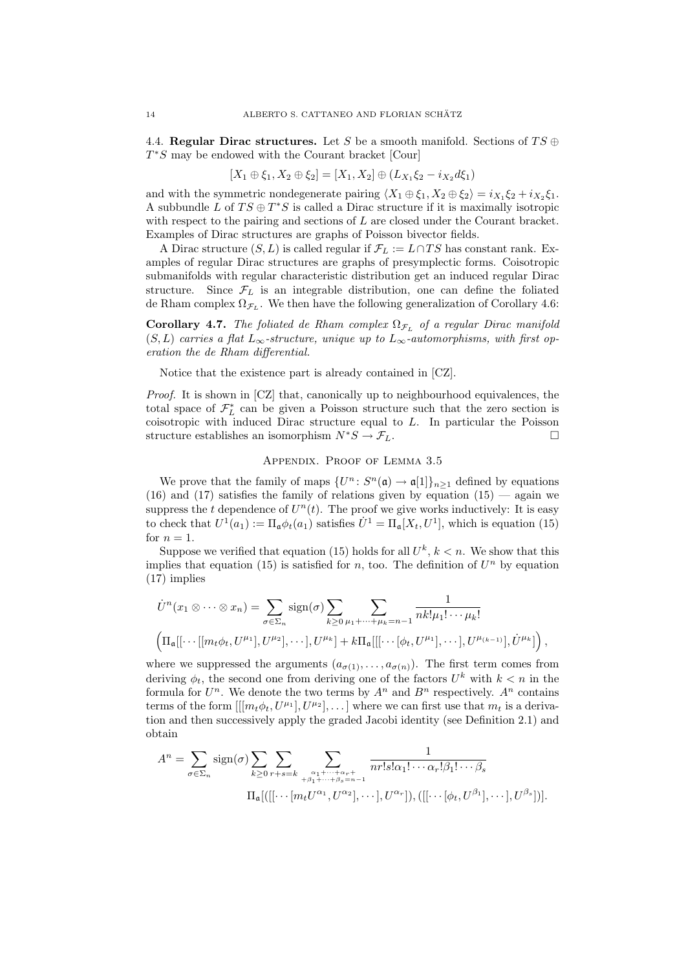4.4. Regular Dirac structures. Let S be a smooth manifold. Sections of  $TS \oplus$  $T^*S$  may be endowed with the Courant bracket [Cour]

$$
[X_1 \oplus \xi_1, X_2 \oplus \xi_2] = [X_1, X_2] \oplus (L_{X_1} \xi_2 - i_{X_2} d\xi_1)
$$

and with the symmetric nondegenerate pairing  $\langle X_1 \oplus \xi_1, X_2 \oplus \xi_2 \rangle = i_{X_1} \xi_2 + i_{X_2} \xi_1$ . A subbundle L of  $TS \oplus T^*S$  is called a Dirac structure if it is maximally isotropic with respect to the pairing and sections of L are closed under the Courant bracket. Examples of Dirac structures are graphs of Poisson bivector fields.

A Dirac structure  $(S, L)$  is called regular if  $\mathcal{F}_L := L \cap TS$  has constant rank. Examples of regular Dirac structures are graphs of presymplectic forms. Coisotropic submanifolds with regular characteristic distribution get an induced regular Dirac structure. Since  $\mathcal{F}_L$  is an integrable distribution, one can define the foliated de Rham complex  $\Omega_{\mathcal{F}_L}$ . We then have the following generalization of Corollary 4.6:

**Corollary 4.7.** The foliated de Rham complex  $\Omega_{\mathcal{F}_L}$  of a regular Dirac manifold  $(S, L)$  carries a flat  $L_{\infty}$ -structure, unique up to  $L_{\infty}$ -automorphisms, with first operation the de Rham differential.

Notice that the existence part is already contained in [CZ].

Proof. It is shown in [CZ] that, canonically up to neighbourhood equivalences, the total space of  $\mathcal{F}_{L}^{*}$  can be given a Poisson structure such that the zero section is coisotropic with induced Dirac structure equal to L. In particular the Poisson structure establishes an isomorphism  $N^*S \to \mathcal{F}_L$ .

## Appendix. Proof of Lemma 3.5

We prove that the family of maps  $\{U^n: S^n(\mathfrak{a}) \to \mathfrak{a}[1]\}_{n \geq 1}$  defined by equations (16) and (17) satisfies the family of relations given by equation  $(15)$  — again we suppress the t dependence of  $U^n(t)$ . The proof we give works inductively: It is easy to check that  $U^1(a_1) := \Pi_{\mathfrak{a}} \phi_t(a_1)$  satisfies  $\dot{U}^1 = \Pi_{\mathfrak{a}}[X_t, U^1]$ , which is equation (15) for  $n = 1$ .

Suppose we verified that equation (15) holds for all  $U^k$ ,  $k < n$ . We show that this implies that equation (15) is satisfied for n, too. The definition of  $U<sup>n</sup>$  by equation (17) implies

$$
\dot{U}^n(x_1 \otimes \cdots \otimes x_n) = \sum_{\sigma \in \Sigma_n} sign(\sigma) \sum_{k \ge 0} \sum_{\mu_1 + \cdots + \mu_k = n-1} \frac{1}{nk! \mu_1! \cdots \mu_k!} \left( \Pi_{\mathfrak{a}}[[\cdots[[m_t \phi_t, U^{\mu_1}], U^{\mu_2}], \cdots], U^{\mu_k}] + k \Pi_{\mathfrak{a}}[[[\cdots[\phi_t, U^{\mu_1}], \cdots], U^{\mu_{(k-1)}}], \dot{U}^{\mu_k}]] \right),
$$

where we suppressed the arguments  $(a_{\sigma(1)},..., a_{\sigma(n)})$ . The first term comes from deriving  $\phi_t$ , the second one from deriving one of the factors  $U^k$  with  $k < n$  in the formula for  $U^n$ . We denote the two terms by  $A^n$  and  $B^n$  respectively.  $A^n$  contains terms of the form  $[[m_t\phi_t, U^{\mu_1}], U^{\mu_2}], \ldots]$  where we can first use that  $m_t$  is a derivation and then successively apply the graded Jacobi identity (see Definition 2.1) and obtain

$$
A^{n} = \sum_{\sigma \in \Sigma_{n}} \operatorname{sign}(\sigma) \sum_{k \geq 0} \sum_{r+s=k} \sum_{\substack{\alpha_{1} + \dots + \alpha_{r} + \\ \dots + \beta_{s} = n-1}} \frac{1}{nr! s! \alpha_{1}! \dots \alpha_{r}! \beta_{1}! \dots \beta_{s}}
$$

$$
\Pi_{\mathfrak{a}} [([[\dots [m_{t} U^{\alpha_{1}}, U^{\alpha_{2}}], \dots], U^{\alpha_{r}}]), ([[\dots [\phi_{t}, U^{\beta_{1}}], \dots], U^{\beta_{s}}])].
$$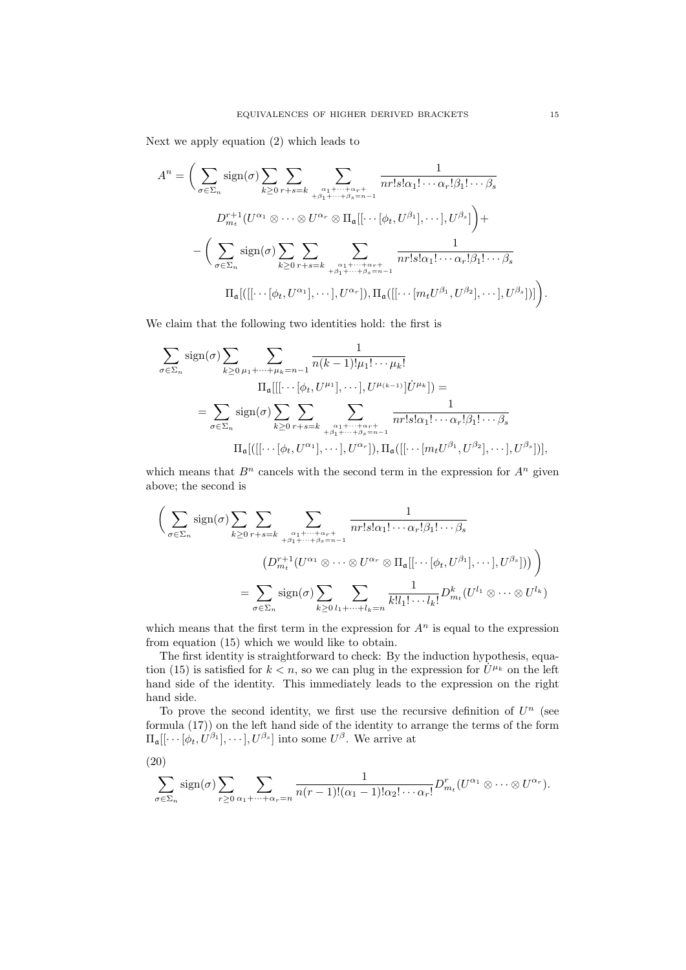Next we apply equation (2) which leads to

$$
A^{n} = \Bigg(\sum_{\sigma \in \Sigma_{n}} \operatorname{sign}(\sigma) \sum_{k \geq 0} \sum_{r+s=k} \sum_{\substack{\alpha_{1} + \cdots + \alpha_{r} + \\ \beta_{1} + \cdots + \beta_{s} = n-1}} \frac{1}{nr!s! \alpha_{1}! \cdots \alpha_{r}! \beta_{1}! \cdots \beta_{s}}
$$

$$
D_{m_{t}}^{r+1}(U^{\alpha_{1}} \otimes \cdots \otimes U^{\alpha_{r}} \otimes \Pi_{\mathfrak{a}}[[\cdots[\phi_{t}, U^{\beta_{1}}], \cdots], U^{\beta_{s}}]\Bigg) +
$$

$$
-\Bigg(\sum_{\sigma \in \Sigma_{n}} \operatorname{sign}(\sigma) \sum_{k \geq 0} \sum_{r+s=k} \sum_{\substack{\alpha_{1} + \cdots + \alpha_{r} + \\ \beta_{1} + \cdots + \beta_{s} = n-1}} \frac{1}{nr!s! \alpha_{1}! \cdots \alpha_{r}! \beta_{1}! \cdots \beta_{s}}
$$

$$
\Pi_{\mathfrak{a}}[([[\cdots[\phi_{t}, U^{\alpha_{1}}], \cdots], U^{\alpha_{r}}]), \Pi_{\mathfrak{a}}([[ \cdots [m_{t}U^{\beta_{1}}, U^{\beta_{2}}], \cdots], U^{\beta_{s}}])]\Bigg).
$$

We claim that the following two identities hold: the first is

$$
\sum_{\sigma \in \Sigma_n} sign(\sigma) \sum_{k \ge 0} \sum_{\mu_1 + \dots + \mu_k = n-1} \frac{1}{n(k-1)! \mu_1! \dots \mu_k!}
$$
  
\n
$$
\Pi_a[[[\dots [\phi_t, U^{\mu_1}], \dots], U^{\mu_{(k-1)}}] U^{\mu_k}]) =
$$
  
\n
$$
= \sum_{\sigma \in \Sigma_n} sign(\sigma) \sum_{k \ge 0} \sum_{r+s=k} \sum_{\substack{\alpha_1 + \dots + \alpha_r + \dots + \alpha_r = n-1 \\ \beta_1 + \dots + \beta_s = n-1}} \frac{1}{nr! s! \alpha_1! \dots \alpha_r! \beta_1! \dots \beta_s}
$$
  
\n
$$
\Pi_a[([[\dots [\phi_t, U^{\alpha_1}], \dots], U^{\alpha_r}]), \Pi_a([[\dots [m_t U^{\beta_1}, U^{\beta_2}], \dots], U^{\beta_s}])],
$$

which means that  $B<sup>n</sup>$  cancels with the second term in the expression for  $A<sup>n</sup>$  given above; the second is

$$
\left(\sum_{\sigma\in\Sigma_n} \operatorname{sign}(\sigma) \sum_{k\geq 0} \sum_{r+s=k} \sum_{\substack{\alpha_1+\cdots+\alpha_r+\atop{\beta_1+\cdots+\beta_s=n-1}}}\frac{1}{nr!s!\alpha_1!\cdots\alpha_r!\beta_1!\cdots\beta_s}
$$

$$
\left(D_{m_t}^{r+1}(U^{\alpha_1}\otimes\cdots\otimes U^{\alpha_r}\otimes\Pi_{\mathfrak{a}}[[\cdots[\phi_t,U^{\beta_1}],\cdots],U^{\beta_s}])\right)\right)
$$

$$
=\sum_{\sigma\in\Sigma_n} \operatorname{sign}(\sigma) \sum_{k\geq 0} \sum_{l_1+\cdots+l_k=n} \frac{1}{k!l_1!\cdots l_k!} D_{m_t}^k(U^{l_1}\otimes\cdots\otimes U^{l_k})
$$

which means that the first term in the expression for  $A<sup>n</sup>$  is equal to the expression from equation (15) which we would like to obtain.

The first identity is straightforward to check: By the induction hypothesis, equation (15) is satisfied for  $k < n$ , so we can plug in the expression for  $\dot{U}^{\mu_k}$  on the left hand side of the identity. This immediately leads to the expression on the right hand side.

To prove the second identity, we first use the recursive definition of  $U<sup>n</sup>$  (see formula (17)) on the left hand side of the identity to arrange the terms of the form  $\Pi_{\mathfrak{a}}[[\cdots[\phi_t, U^{\beta_1}], \cdots], U^{\beta_s}]$  into some  $U^{\beta}$ . We arrive at

$$
(20)
$$

$$
\sum_{\sigma \in \Sigma_n} sign(\sigma) \sum_{r \geq 0} \sum_{\alpha_1 + \dots + \alpha_r = n} \frac{1}{n(r-1)!(\alpha_1 - 1)!\alpha_2! \cdots \alpha_r!} D_{m_t}^r(U^{\alpha_1} \otimes \dots \otimes U^{\alpha_r}).
$$